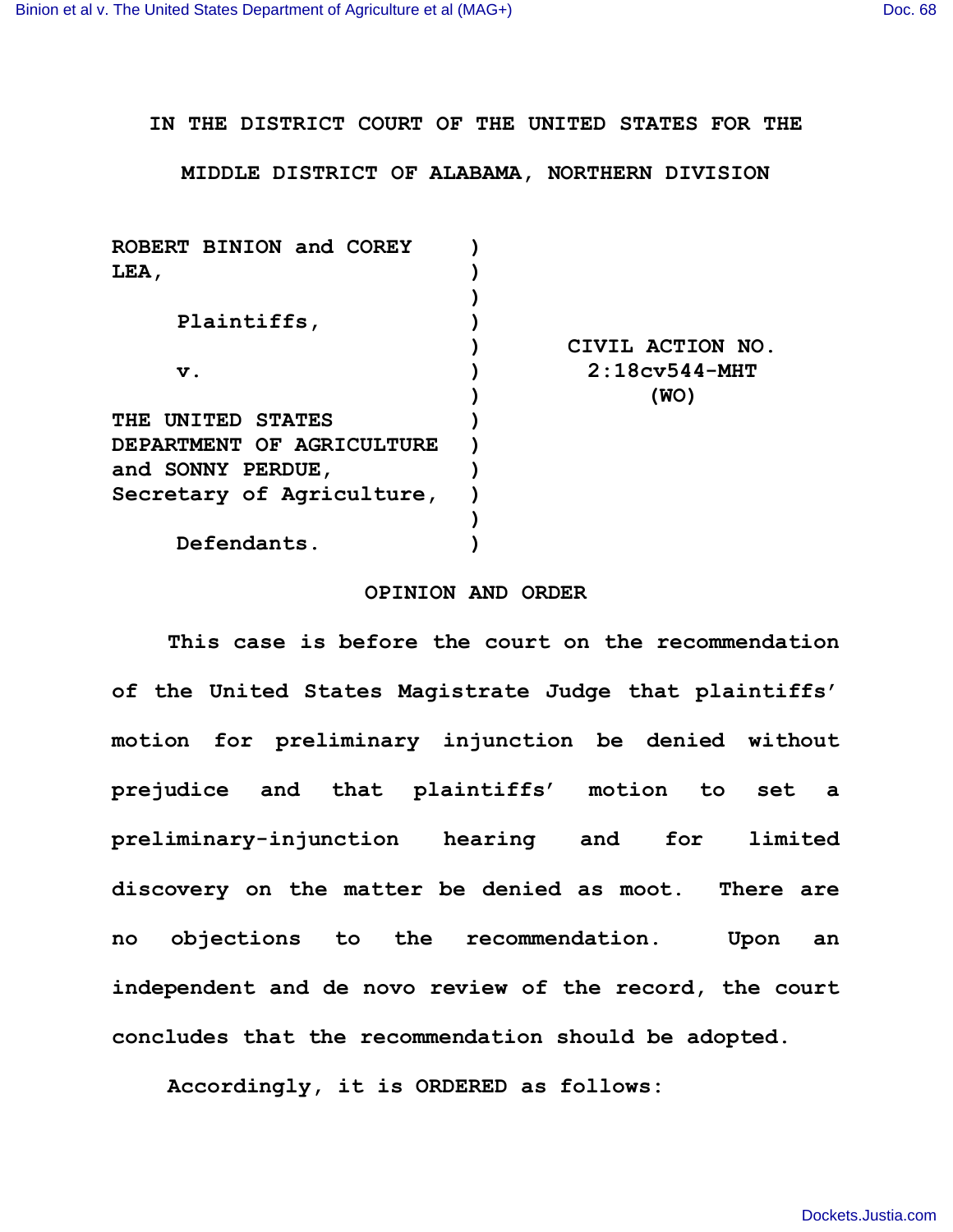**IN THE DISTRICT COURT OF THE UNITED STATES FOR THE**

**MIDDLE DISTRICT OF ALABAMA, NORTHERN DIVISION**

| ROBERT BINION and COREY   |                  |
|---------------------------|------------------|
| LEA,                      |                  |
|                           |                  |
| Plaintiffs,               |                  |
|                           | CIVIL ACTION NO. |
| $\mathbf v$ .             | $2:18cy544-MHT$  |
|                           | (WO)             |
| THE UNITED STATES         |                  |
| DEPARTMENT OF AGRICULTURE |                  |
| and SONNY PERDUE,         |                  |
| Secretary of Agriculture, |                  |
|                           |                  |
| Defendants.               |                  |
|                           |                  |

## **OPINION AND ORDER**

**This case is before the court on the recommendation of the United States Magistrate Judge that plaintiffs' motion for preliminary injunction be denied without prejudice and that plaintiffs' motion to set a preliminary-injunction hearing and for limited discovery on the matter be denied as moot. There are no objections to the recommendation. Upon an independent and de novo review of the record, the court concludes that the recommendation should be adopted.**

**Accordingly, it is ORDERED as follows:**